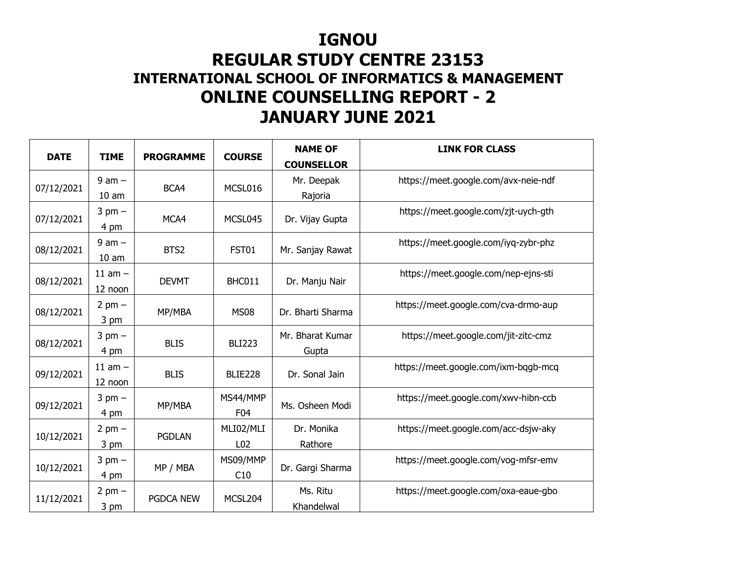## **IGNOU**

## **REGULAR STUDY CENTRE 23153 INTERNATIONAL SCHOOL OF INFORMATICS & MANAGEMENT ONLINE COUNSELLING REPORT - 2 JANUARY JUNE 2021**

| <b>DATE</b> | <b>TIME</b>                    | <b>PROGRAMME</b> | <b>COURSE</b>                | <b>NAME OF</b><br><b>COUNSELLOR</b> | <b>LINK FOR CLASS</b>                |
|-------------|--------------------------------|------------------|------------------------------|-------------------------------------|--------------------------------------|
| 07/12/2021  | $9$ am $-$<br>10 <sub>am</sub> | BCA4             | MCSL016                      | Mr. Deepak<br>Rajoria               | https://meet.google.com/avx-neie-ndf |
| 07/12/2021  | $3$ pm $-$<br>4 pm             | MCA4             | MCSL045                      | Dr. Vijay Gupta                     | https://meet.google.com/zjt-uych-gth |
| 08/12/2021  | $9$ am $-$<br>10 <sub>am</sub> | BTS2             | FST01                        | Mr. Sanjay Rawat                    | https://meet.google.com/iyq-zybr-phz |
| 08/12/2021  | $11$ am $-$<br>12 noon         | <b>DEVMT</b>     | BHC011                       | Dr. Manju Nair                      | https://meet.google.com/nep-ejns-sti |
| 08/12/2021  | $2$ pm $-$<br>3 pm             | MP/MBA           | <b>MS08</b>                  | Dr. Bharti Sharma                   | https://meet.google.com/cva-drmo-aup |
| 08/12/2021  | $3$ pm $-$<br>4 pm             | <b>BLIS</b>      | <b>BLI223</b>                | Mr. Bharat Kumar<br>Gupta           | https://meet.google.com/jit-zitc-cmz |
| 09/12/2021  | $11$ am $-$<br>12 noon         | <b>BLIS</b>      | BLIE228                      | Dr. Sonal Jain                      | https://meet.google.com/ixm-bqgb-mcq |
| 09/12/2021  | $3$ pm $-$<br>4 pm             | MP/MBA           | MS44/MMP<br>F04              | Ms. Osheen Modi                     | https://meet.google.com/xwv-hibn-ccb |
| 10/12/2021  | $2$ pm $-$<br>3 pm             | <b>PGDLAN</b>    | MLI02/MLI<br>L <sub>02</sub> | Dr. Monika<br>Rathore               | https://meet.google.com/acc-dsjw-aky |
| 10/12/2021  | $3$ pm $-$<br>4 pm             | MP / MBA         | MS09/MMP<br>C10              | Dr. Gargi Sharma                    | https://meet.google.com/vog-mfsr-emv |
| 11/12/2021  | $2$ pm $-$<br>$3 \text{ pm}$   | <b>PGDCA NEW</b> | MCSL204                      | Ms. Ritu<br>Khandelwal              | https://meet.google.com/oxa-eaue-gbo |